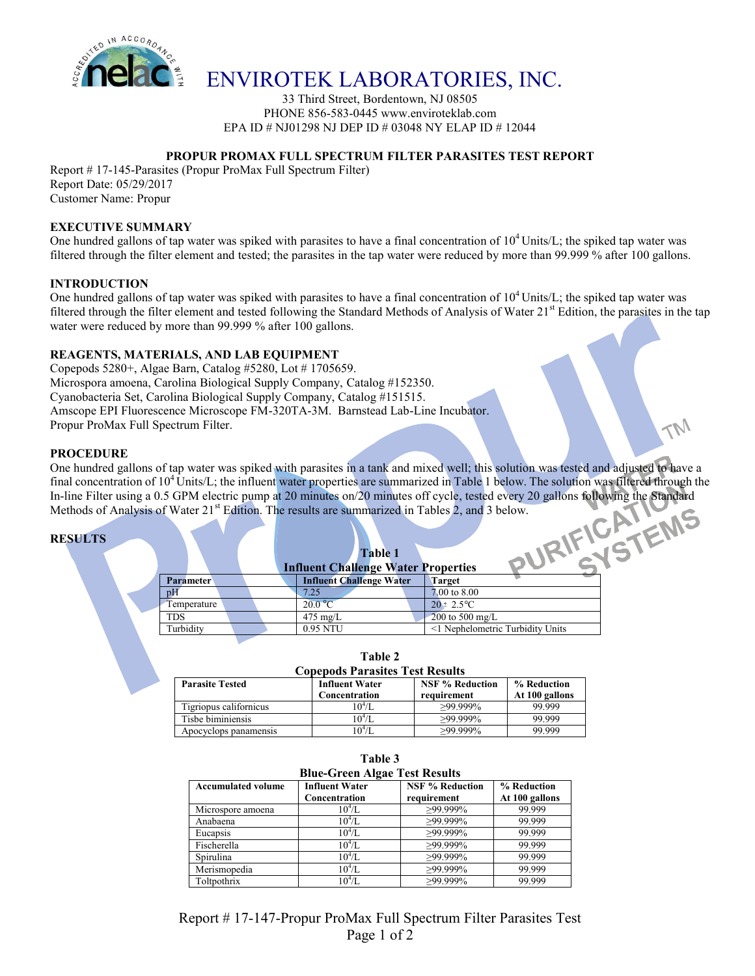

## ENVIROTEK LABORATORIES, INC.

33 Third Street, Bordentown, NJ 08505 PHONE 856-583-0445 www.enviroteklab.com EPA ID # NJ01298 NJ DEP ID # 03048 NY ELAP ID # 12044

## **PROPUR PROMAX FULL SPECTRUM FILTER PARASITES TEST REPORT**

Report # 17-145-Parasites (Propur ProMax Full Spectrum Filter) Report Date: 05/29/2017 Customer Name: Propur

## **EXECUTIVE SUMMARY**

One hundred gallons of tap water was spiked with parasites to have a final concentration of  $10^4$  Units/L; the spiked tap water was filtered through the filter element and tested; the parasites in the tap water were reduced by more than 99.999 % after 100 gallons.

## **INTRODUCTION**

One hundred gallons of tap water was spiked with parasites to have a final concentration of  $10^4$  Units/L; the spiked tap water was filtered through the filter element and tested following the Standard Methods of Analysis of Water  $21<sup>st</sup>$  Edition, the parasites in the tap water were reduced by more than 99.999 % after 100 gallons.

## **REAGENTS, MATERIALS, AND LAB EQUIPMENT**

Copepods 5280+, Algae Barn, Catalog #5280, Lot # 1705659. Microspora amoena, Carolina Biological Supply Company, Catalog #152350. Cyanobacteria Set, Carolina Biological Supply Company, Catalog #151515. Amscope EPI Fluorescence Microscope FM-320TA-3M. Barnstead Lab-Line Incubator. Propur ProMax Full Spectrum Filter.

#### **PROCEDURE**

One hundred gallons of tap water was spiked with parasites in a tank and mixed well; this solution was tested and adjusted to have a final concentration of 10<sup>4</sup> Units/L; the influent water properties are summarized in Table 1 below. The solution was filtered through the In-line Filter using a 0.5 GPM electric pump at 20 minutes on/20 minutes off cycle, In-line Filter using a 0.5 GPM electric pump at 20 minutes on/20 minutes off cycle, tested every 20 gallons following the Standard Methods of Analysis of Water  $21^{st}$  Edition. The results are summarized in Tables 2, and 3 below.

## **RESULTS**

|                  | <b>Influent Challenge Water Properties</b> |                                 |                                  |
|------------------|--------------------------------------------|---------------------------------|----------------------------------|
| <b>Parameter</b> |                                            | <b>Influent Challenge Water</b> | <b>Target</b>                    |
| pH               |                                            | 7.25                            | 7.00 to 8.00                     |
| Temperature      |                                            | 20.0 °C                         | $20 \pm 2.5^{\circ}C$            |
| TDS              |                                            | $475 \text{ mg/L}$              | 200 to 500 mg/L                  |
| Turbidity        |                                            | 0.95 NTU                        | <1 Nephelometric Turbidity Units |
|                  |                                            |                                 |                                  |

| <b>Copepods Parasites Test Results</b> |                       |                        |                |  |  |  |  |
|----------------------------------------|-----------------------|------------------------|----------------|--|--|--|--|
| <b>Parasite Tested</b>                 | <b>Influent Water</b> | <b>NSF % Reduction</b> | % Reduction    |  |  |  |  |
|                                        | Concentration         | requirement            | At 100 gallons |  |  |  |  |
| Tigriopus californicus                 | $10^4$ /L             | $>99.999\%$            | 99.999         |  |  |  |  |
| Tisbe biminiensis                      | $10^4$ /L             | $>99.999\%$            | 99.999         |  |  |  |  |
| Apocyclops panamensis                  | 10 <sup>4</sup> /I    | $>99.999\%$            | 99.999         |  |  |  |  |

**Table 2**

| Table 3<br><b>Blue-Green Algae Test Results</b> |            |             |        |  |  |  |  |
|-------------------------------------------------|------------|-------------|--------|--|--|--|--|
|                                                 |            |             |        |  |  |  |  |
| Microspore amoena                               | $10^4$ /L  | ≥99.999%    | 99.999 |  |  |  |  |
| Anabaena                                        | $10^4$ /L. | $>99.999\%$ | 99.999 |  |  |  |  |
| Eucapsis                                        | $10^4$ /L  | $>99.999\%$ | 99.999 |  |  |  |  |
| Fischerella                                     | $10^{4}/L$ | $>99.999\%$ | 99.999 |  |  |  |  |
| Spirulina                                       | $10^{4}/L$ | $>99.999\%$ | 99.999 |  |  |  |  |
| Merismopedia                                    | $10^{4}/L$ | $>99.999\%$ | 99.999 |  |  |  |  |
| Toltpothrix                                     | $10^4$ /L  | $>99.999\%$ | 99.999 |  |  |  |  |

Report # 17-147-Propur ProMax Full Spectrum Filter Parasites Test Page 1 of 2